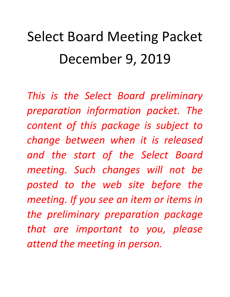# Select Board Meeting Packet December 9, 2019

*This is the Select Board preliminary preparation information packet. The content of this package is subject to change between when it is released and the start of the Select Board meeting. Such changes will not be posted to the web site before the meeting. If you see an item or items in the preliminary preparation package that are important to you, please attend the meeting in person.*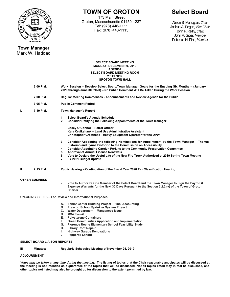

# **TOWN OF GROTON**

173 Main Street Groton, Massachusetts 01450-1237 Tel: (978) 448-1111 Fax: (978) 448-1115

# **Select Board**

Alison S. Manugian, *Chair*  Joshua A. Degen, *Vice Chair* John F. Reilly, *Clerk* John R. Giger, *Member* Rebecca H. Pine, *Member* 

#### **Town Manager**  Mark W. Haddad

#### **SELECT BOARD MEETING MONDAY, DECEMBER 9, 2019 AGENDA SELECT BOARD MEETING ROOM 2nd FLOOR GROTON TOWN HALL**

- **6:00 P.M. Work Session Develop Select Board/Town Manager Goals for the Ensuing Six Months (January 1, 2020 through June 30, 2020) – No Public Comment Will Be Taken During the Work Session**
- **7:00 P.M. Regular Meeting Commences Announcements and Review Agenda for the Public**
- **7:05 P.M. Public Comment Period**
- **I. 7:10 P.M. Town Manager's Report** 
	- **1. Select Board's Agenda Schedule 2. Consider Ratifying the Following Appointments of the Town Manager:**

**Casey O'Connor – Patrol Officer Kara Cruikshank – Land Use Administrative Assistant Christopher Greathead - Heavy Equipment Operator for the DPW** 

- **3. Consider Appointing the following Nominations for Appointment by the Town Manager Thomas Pistorino and Lynne Pistorino to the Commission on Accessibility**
- **4. Consider Appointing Carolyn Perkins to the Community Preservation Committee**
- **5. Approval of Annual License Renewals**
- **6. Vote to Declare the Useful Life of the New Fire Truck Authorized at 2019 Spring Town Meeting**
- **7. FY 2021 Budget Update**
- **II.** 7:15 P.M. Public Hearing Continuation of the Fiscal Year 2020 Tax Classification Hearing

#### **OTHER BUSINESS**

- **Vote to Authorize One Member of the Select Board and the Town Manager to Sign the Payroll & Expense Warrants for the Next 30 Days Pursuant to the Section 3.2.2 (v) of the Town of Groton Charter** 

**ON-GOING ISSUES – For Review and Informational Purposes**

- **A. Senior Center Building Project Final Accounting**
- **B. Prescott School Sprinkler System Project**
- **C. Water Department Manganese Issue** 
	- **MS4 Permit**
- **E. Polystyrene Containers**
- **F. Green Communities Application and Implementation**
- **G. Florence Roche Elementary School Feasibility Study**
- **H. Library Roof Repair**
- **I. Highway Garage Renovations**
- **J. Pepperell Landfill**

#### **SELECT BOARD LIAISON REPORTS**

**III. Minutes: Regularly Scheduled Meeting of November 25, 2019** 

#### **ADJOURNMENT**

*Votes may be taken at any time during the meeting.* **The listing of topics that the Chair reasonably anticipates will be discussed at the meeting is not intended as a guarantee of the topics that will be discussed. Not all topics listed may in fact be discussed, and other topics not listed may also be brought up for discussion to the extent permitted by law.**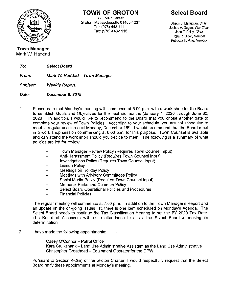

**TOWN OF GROTON** 

173 Main Street Groton, Massachusetts 01450-1237 Tel: (978) 448-1111 Fax: (978) 448-1115

**Select Board** 

Alison S. Manugian, Chair Joshua A. Degen. Vice Chair John F. Reilly, Clerk John R. Giger, Member Rebecca H. Pine, Member

**Town Manager** Mark W. Haddad

> To: **Select Board**

Mark W. Haddad - Town Manager From:

**Weekly Report** Subject:

Date: December 9, 2019

- $1<sub>1</sub>$ Please note that Monday's meeting will commence at 6:00 p.m. with a work shop for the Board to establish Goals and Objectives for the next six months (January 1, 2020 through June 30, 2020). In addition, I would like to recommend to the Board that you chose another date to complete your review of Town Policies. According to your schedule, you are not scheduled to meet in regular session next Monday, December 16<sup>th</sup>. I would recommend that the Board meet in a work shop session commencing at 6:00 p.m. for this purpose. Town Counsel is available and can attend the work shop should you decide to meet. The following is a summary of what policies are left for review:
	- Town Manager Review Policy (Reguires Town Counsel Input)  $\overline{a}$
	- Anti-Harassment Policy (Requires Town Counsel Input)  $\overline{a}$
	- Investigations Policy (Requires Town Counsel Input)  $\overline{a}$
	- Liaison Policy  $\ddot{\phantom{0}}$
	- Meetings on Holiday Policy  $\overline{a}$
	- Meetings with Advisory Committees Policy  $\overline{a}$
	- Social Media Policy (Requires Town Counsel Input)  $\overline{a}$
	- **Memorial Parks and Common Policy**  $\blacksquare$
	- Select Board Operational Policies and Procedures  $\blacksquare$
	- **Financial Policies**  $\overline{a}$

The regular meeting will commence at 7:00 p.m. In addition to the Town Manager's Report and an update on the on-going issues list, there is one item scheduled on Monday's Agenda. The Select Board needs to continue the Tax Classification Hearing to set the FY 2020 Tax Rate. The Board of Assessors will be in attendance to assist the Select Board in making its determination.

 $2.$ I have made the following appointments:

> Casey O'Connor - Patrol Officer Kara Cruikshank - Land Use Administrative Assistant as the Land Use Administrative Christopher Greathead - Equipment Operator for the DPW

Pursuant to Section 4-2(iii) of the Groton Charter, I would respectfully request that the Select Board ratify these appointments at Monday's meeting.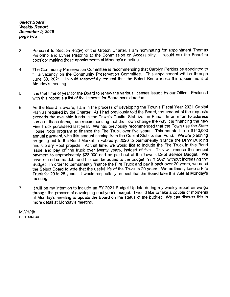**Select Board Weekly Report** December 9, 2019 page two

- Pursuant to Section 4-2(iv) of the Groton Charter, I am nominating for appointment Thomas  $3<sub>1</sub>$ Pistorino and Lynne Pistorino to the Commission on Accessibility. I would ask the Board to consider making these appointments at Monday's meeting.
- The Community Preservation Committee is recommending that Carolyn Perkins be appointed to  $\overline{4}$ . fill a vacancy on the Community Preservation Committee. This appointment will be through June 30, 2021. I would respectfully request that the Select Board make this appointment at Monday's meeting.
- It is that time of year for the Board to renew the various licenses issued by our Office. Enclosed 5. with this report is a list of the licenses for Board consideration.
- As the Board is aware, I am in the process of developing the Town's Fiscal Year 2021 Capital 6. Plan as required by the Charter. As I had previously told the Board, the amount of the requests exceeds the available funds in the Town's Capital Stabilization Fund. In an effort to address some of these items. I am recommending that the Town change the way it is financing the new Fire Truck purchased last year. We had previously recommended that the Town use the State House Note program to finance the Fire Truck over five years. This equated to a \$140,000 annual payment, with this amount coming from the Capital Stabilization Fund. We are planning on going out to the Bond Market in February, 2020 to permanently finance the DPW Building and Library Roof projects. At that time, we would like to include the Fire Truck in this Bond Issue and pay off the truck over twenty years, instead of five. This will reduce the annual payment to approximately \$28,000 and be paid out of the Town's Debt Service Budget. We have retired some debt and this can be added to the budget in FY 2021 without increasing the Budget. In order to permanently finance the Fire Truck and pay it back over 20 years, we need the Select Board to vote that the useful life of the Truck is 20 years. We ordinarily keep a Fire Truck for 20 to 25 years. I would respectfully request that the Board take this vote at Monday's meeting.
- It will be my intention to include an FY 2021 Budget Update during my weekly report as we go  $7.$ through the process of developing next year's budget. I would like to take a couple of moments at Monday's meeting to update the Board on the status of the budget. We can discuss this in more detail at Monday's meeting.

MWH/rib enclosures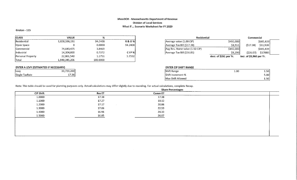#### MassDOR - Massachusetts Department of Revenue **Division of Local Services** What If ... Scenario Worksheet for FY 2020

Groton - 115

| <b>CLASS</b>             | <b>VALUE</b>  | %        |                  |
|--------------------------|---------------|----------|------------------|
| <b>IResidential</b>      | 1,828,596,191 | 94.2408  | R & O %          |
| Open Space               |               | 0.0000   | 94.2408          |
| <b>Commercial</b>        | 74,643.475    | 3.8469   |                  |
| <i>Industrial</i>        | 14,304,000    | 0.7372   | CIP <sup>%</sup> |
| <b>Personal Property</b> | 22,801,540    | 1.1751   | 5.7592           |
| Total                    | 1,940,345,206 | 100.0000 |                  |

## ENTER A LEVY (ESTIMATED IF NECESSARY)

| Levy           | 33,723,200 |
|----------------|------------|
| Single TaxRate | 17.38      |

| Residential                    |                        | Commercial               |           |  |
|--------------------------------|------------------------|--------------------------|-----------|--|
| Average value (1.00 CIP)       | \$492,000              |                          | \$685,839 |  |
| Average Tax Bill (\$17.38)     | \$8,551                | (517.38)                 | \$11,920  |  |
| Avg Res. Home value (1.50 CIP) | \$492,000              |                          | \$685,839 |  |
| Average Tax Bill (\$16.85)     | \$8,290                | (526.07)                 | \$17880   |  |
|                                | decr. of \$261 per Yr. | Incr. of \$5,960 per Yr. |           |  |

## **ENTER CIP SHIFT RANGE**

| Shift Range       | 1.00 | 1.50 <sub>1</sub> |
|-------------------|------|-------------------|
| Shift Increment % |      | 5.00              |
| Max Shift Allowed |      | 1.50              |

Note: This table should be used for planning purposes only. Actual calculations may differ slightly due to rounding. For actual calculations, complete Recap.

| <b>Share Percentages</b> |               |         |  |
|--------------------------|---------------|---------|--|
| <b>CIP Shift</b>         | <b>Res ET</b> | Comm ET |  |
| 1.0000                   | 17.38         | 17.38   |  |
| 1.1000                   | 17.27         | 19.12   |  |
| 1.2000                   | 17.17         | 20.86   |  |
| 1.3000                   | 17.06         | 22.59   |  |
| 1,4000                   | 16.96         | 24.33   |  |
| 1.5000                   | 16.85         | 26.07   |  |
|                          |               |         |  |
|                          |               |         |  |
|                          |               |         |  |
|                          |               |         |  |
|                          |               |         |  |
|                          |               |         |  |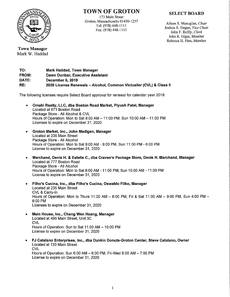

## **TOWN OF GROTON**

173 Main Street Groton, Massachusetts 01450-1237 Tel: (978) 448-1111 Fax: (978) 448-1115

## **SELECT BOARD**

Alison S. Manugian, Chair Joshua A. Degen, Vice Chair John F. Reilly, Clerk John R. Giger, Member Rebecca H. Pine, Member

**Town Manager** Mark W. Haddad

TO: Mark Haddad, Town Manager FROM: **Dawn Dunbar, Executive Assistant** DATE: December 6, 2019 RE: 2020 License Renewals - Alcohol, Common Victualler (CVL) & Class II

The following licenses require Select Board approval for renewal for calendar year 2019:

- Omahi Realty, LLC, dba Boston Road Market, Piyush Patel, Manager  $\bullet$ Located at 871 Boston Road Package Store - All Alcohol & CVL Hours of Operation: Mon to Sat 8:00 AM - 11:00 PM; Sun 10:00 AM - 11:00 PM Licenses to expire on December 31, 2020
- Groton Market, Inc., John Madigan, Manager  $\bullet$ Located at 235 Main Street Package Store - All Alcohol Hours of Operation: Mon to Sat 9:00 AM - 9:00 PM, Sun 11:00 PM - 6:00 PM License to expire on December 31, 2020
- Marchand, Denis H. & Estelle C., dba Craven's Package Store, Denis H. Marchand, Manager Located at 777 Boston Road Package Store - All Alcohol Hours of Operation: Mon to Sat 8:00 AM - 11:00 PM, Sun 10:00 AM - 11:00 PM License to expire on December 31, 2020
- Filho's Cucina, Inc., dba Filho's Cucina, Oswaldo Filho, Manager Located at 235 Main Street CVL & Carry-In Hours of Operation: Mon to Thurs 11:00 AM - 8:00 PM, Fri & Sat 11:00 AM - 9:00 PM, Sun 4:00 PM -8:00 PM Licenses to expire on December 31, 2020
- Main House, Inc., Chang Wen Huang, Manager Located at 495 Main Street, Unit 3C **CVL** Hours of Operation: Sun to Sat 11:00 AM - 10:00 PM License to expire on December 31, 2020
- FJ Catalano Enterprises, Inc., dba Dunkin Donuts-Groton Center, Steve Catalano, Owner ۰ Located at 133 Main Street **CVL** Hours of Operation: Sun 6:00 AM - 6:00 PM, Fri-Wed 6:00 AM - 7:00 PM License to expire on December 31, 2020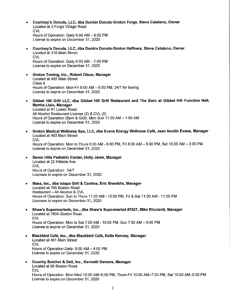- Courtney's Donuts, LLC, dba Dunkin Donuts-Groton Forge, Steve Catalano, Owner  $\bullet$ Located at 3 Forge Village Road **CVL** Hours of Operation: Daily 6:00 AM - 8:00 PM License to expire on December 31, 2020
- Courtney's Donuts, LLC, dba Dunkin Donuts-Groton Haffners, Steve Catalano, Owner ۰ Located at 318 Main Street CVL. Hours of Operation: Daily 6:00 AM - 7:00 PM License to expire on December 31, 2020
- Groton Towing, Inc., Robert Olson, Manager  $\bullet$ Located at 455 Main Street Class II Hours of Operation: Mon-Fri 8:00 AM - 6:00 PM; 24/7 for towing License to expire on December 31, 2020
- Gibbet Hill Grill LLC, dba Gibbet Hill Grill Restaurant and The Barn at Gibbet Hill Function Hall,  $\bullet$ Martha Lisio, Manager Located at 61 Lowell Road All Alcohol Restaurant License (2) & CVL (2) Hours of Operation (Barn & Grill): Mon-Sun 11:00 AM - 1:00 AM License to expire on December 31, 2020
- Groton Medical Wellness Spa, LLC, dba Evans Energy Wellness Café, Jean Nordin Evans, Manager  $\bullet$ Located at 493 Main Street **CVL** Hours of Operation: Mon to Thurs 8:00 AM - 6:00 PM, Fri 8:00 AM - 5:00 PM, Sat 10:00 AM - 3:00 PM License to expire on December 31, 2020
- Seven Hills Pediatric Center, Holly Jarek, Manager  $\bullet$ Located at 22 Hillside Ave **CVL** Hours of Operation: 24/7 Licenses to expire on December 31, 2020
- Masa, Inc., dba Ixtapa Grill & Cantina, Eric Brambila, Manager  $\bullet$ Located at 765 Boston Road Restaurant - All Alcohol & CVL Hours of Operation: Sun to Thurs 11:00 AM - 10:00 PM, Fri & Sat 11:00 AM - 11:00 PM Licenses to expire on December 31, 2020
- Shaw's Supermarkets, Inc., dba Shaw's Supermarket #7627, Mike Ricciardi, Manager  $\bullet$ Located at 760A Boston Road **CVL** Hours of Operation: Mon to Sat 7:00 AM - 10:00 PM, Sun 7:00 AM - 9:00 PM License to expire on December 31, 2020
- Blackbird Café, Inc., dba Blackbird Café, Katie Kenney, Manager  $\bullet$ Located at 491 Main Street **CVL** Hours of Operation Daily: 6:00 AM - 4:00 PM License to expire on December 31, 2020
- Country Butcher & Deli, Inc., Kenneth Demers, Manager Located at 68 Boston Road **CVL** Hours of Operation: Mon-Wed 10:00 AM-6:00 PM, Thurs-Fri 10:00 AM-7:00 PM, Sat 10:00 AM-5:00 PM License to expire on December 31, 2020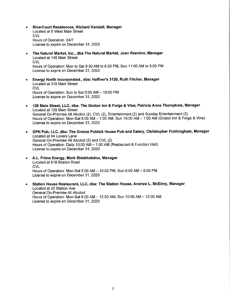- RiverCourt Residences, Richard Kendall, Manager  $\bullet$ Located at 8 West Main Street **CVL** Hours of Operation: 24/7 License to expire on December 31, 2020
- The Natural Market, Inc., dba The Natural Market, Joan Reardon, Manager  $\bullet$ Located at 148 Main Street **CVL** Hours of Operation: Mon to Sat 9:30 AM to 6:30 PM, Sun 11:00 AM to 5:00 PM License to expire on December 31, 2020
- Energy North Incorporated., dba: Haffner's 3120, Ruth Fitcher, Manager  $\bullet$ Located at 318 Main Street **CVL** Hours of Operation: Sun to Sat 6:00 AM - 10:00 PM License to expire on December 31, 2020
- 128 Main Street, LLC; dba: The Groton Inn & Forge & Vine; Patricia Anne Thompkins, Manager  $\bullet$ Located at 128 Main Street General On-Premise All Alcohol (2), CVL (2), Entertainment (2) and Sunday Entertainment (2) Hours of Operation: Mon-Sat 8:00 AM - 1:00 AM, Sun 10:00 AM - 1:00 AM (Groton Inn & Forge & Vine) License to expire on December 31, 2020
- GPH Pub, LLC, dba: The Groton Publick House Pub and Eatery, Christopher Frothingham, Manager Located at 94 Lovers Lane General On-Premise All Alcohol (2) and CVL (2) Hours of Operation: Daily 10:00 AM - 1:00 AM (Restaurant & Function Hall) License to expire on December 31, 2020
- A.L. Prime Energy, Mark Shiekhabdou, Manager Located at 619 Boston Road **CVL** Hours of Operation: Mon-Sat 5:00 AM - 10:00 PM, Sun 6:00 AM - 9:00 PM License to expire on December 31, 2020
- Station House Restaurant, LLC, dba: The Station House, Andrew L. McElroy, Manager  $\bullet$ Located at 20 Station Ave General On-Premise All Alcohol Hours of Operation: Mon-Sat 8:00 AM - 12:00 AM; Sun 10:00 AM - 12:00 AM License to expire on December 31, 2020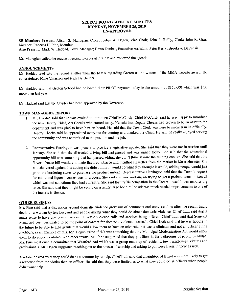#### **SELECT BOARD MEETING MINUTES MONDAY, NOVEMBER 25, 2019 UN-APPROVED**

SB Members Present: Alison S. Manugian, Chair; Joshua A. Degen, Vice Chair; John F. Reilly, Clerk; John R. Giger, Member: Rebecca H. Pine, Member

Also Present: Mark W. Haddad, Town Manager; Dawn Dunbar, Executive Assistant; Peter Berry, Brooks & DeRensis

Ms. Manugian called the regular meeting to order at 7:00pm and reviewed the agenda.

#### **ANNOUNCEMENTS**

Mr. Haddad read into the record a letter from the MMA regarding Groton as the winner of the MMA website award. He congratulated Mike Chiasson and Nick Batchelder.

Mr. Haddad said that Groton School had delivered their PILOT payment today in the amount of \$150,000 which was \$5K more than last year.

Mr. Haddad said that the Charter had been approved by the Governor.

#### TOWN MANAGER'S REPORT

- 1. Mr. Haddad said that he was excited to introduce Chief McCurdy. Chief McCurdy said he was happy to introduce the new Deputy Chief, Art Cheeks who started today. He said that Deputy Cheeks had proven to be an asset to the department and was glad to have him on board. He said that the Town Clerk was here to swear him in officially. Deputy Cheeks said he appreciated everyone for coming and thanked the Chief. He said he really enjoyed serving the community and was committed to the position and the job.
- 2. Representative Harrington was present to provide a legislative update. She said that they were not in session until January. She said that the distracted driving bill had passed and was signed today. She said that the educational opportunity bill was something that had passed adding she didn't think it raise the funding enough. She said that the flavor tobacco bill would eliminate flavored tobacco and menthol cigarettes from the market in Massachusetts. She said she voted against this adding she didn't think it would do what they thought it would, adding people would just go to the bordering states to purchase the product instead. Representative Harrington said that the Town's request for additional liquor licenses was in process. She said she was working on trying to get a probate court in Lowell which was not something they had currently. She said that traffic congestion in the Commonwealth was another big issue. She said that they might be voting on a rather large bond bill to address much needed improvements to one of the tunnels in Boston.

#### **OTHER BUSINESS**

Ms. Pine said that a discussion around domestic violence grew out of comments and conversations after the recent tragic death of a woman by her husband and people asking what they could do about domestic violence. Chief Luth said that it made sense to have one person oversee domestic violence calls and services being offered. Chief Luth said that Sergeant Mead had been designated to be the point of contact for domestic violence outreach. Chief Luth said that he was hoping in the future to be able to find grants that would allow them to have an advocate that was a clinician and not an officer citing Fitchburg as an example of this. Mr. Degen asked if this was something that the Municipal Modernization Act would allow them to do under a contract with other towns. Ms. Pine suggested that they put fliers in the bathrooms of public buildings. Ms. Pine mentioned a committee that Westford had which was a group made up of residents, town employees, victims and professionals. Mr. Degen suggested reaching out to the houses of worship and asking to put these flyers in there as well.

A resident asked what they could do as a community to help. Chief Luth said that a neighbor of friend was more likely to get a response from the victim than an officer. He said that they were limited as to what they could do as officers when people didn't want help.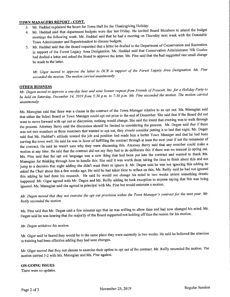#### TOWN MANAGERS REPORT - CONT.

- 3. Mr. Haddad explained the hours for Town Hall for the Thanksgiving Holiday.
- 4. Mr. Haddad said that department budgets were due last Friday. He invited Board Members to attend the budget meetings the following week. Mr. Haddad said that he had a meeting on Thursday next week with the Dunstable Town Administrator and Superintendent to discuss budgets.
- 5. Mr. Haddad said that the Board requested that a letter be drafted to the Department of Conservation and Recreation in support of the Forest Legacy Area Designation. Mr. Haddad said that Conservation Administrator Nik Gualco had drafted a letter and asked the Board to approve the letter. Ms. Pine said that she had suggested one small change be made to the letter.

Mr. Giger moved to approve the letter to DCR in support of the Forest Legacy Area Designation. Ms. Pine seconded the motion. The motion carried unanimously.

#### **OTHER BUSINESS**

Mr. Degen moved to approve a one-day beer and wine license request from Friends of Prescott, Inc. for a Holiday Party to be held on Saturday, December 14, 2019 from 5:30 p.m. to 7:30 p.m. Ms. Pine seconded the motion. The motion carried unanimously.

Ms. Manugian said that there was a clause in the contract of the Town Manager relative to an opt out. Ms. Manugian said that either the Select Board or Town Manager could opt out prior to the end of December. She said that if the Board did not want to move forward with opt out or discussion, nothing would change. She said the intent that evening was to walk through the process. Attorney Berry said the discussion should be limited to considering the process. Mr. Degen said that if there was not two members or three members that wanted to opt out, they should consider putting it to bed that night. Mr. Degen said that Mr. Haddad's attitude toward the job and position had made him a better Town Manager and that he had been serving the town well. He said he was in favor of fulfilling the contract through at least the next year if not the remainder of the contract. He said he wasn't sure why they were discussing this. Attorney Berry said that any member could make a motion at any time. He said that the contract did not say they had to do deliberate this if there was no interest in opting out. Ms. Pine said that the opt out language was a new thing that had been put into the contract and wanted to thank Ms. Manugian for thinking through how to handle this. She said it was worth them taking the time to think about this and not jump to a decision that night adding she didn't want them to ignore it. Mr. Degen said he was not ignoring this adding he asked the Chair about this a few weeks ago. He said he had taken time to reflect on this. Mr. Reilly said he had not ignored this adding he had done his research. He said he would not change his mind in two weeks unless something drastic happened. Mr. Giger agreed with Mr. Degen and Mr. Reilly adding he took exception to anyone saying that this was being ignored. Ms. Manugian said she agreed in principal with Ms. Pine but would entertain a motion.

Mr. Degen moved that they not exercise the opt out provision within the Town Manager's contract for the next year. Mr. Reilly seconded the motion.

Ms. Pine said that Mr. Degen said a few minutes ago that he was willing to allow time and had now changed his mind. Mr. Degen said he was hearing that the majority of the Board supported not holding off thus the reason for his motion.

#### Mr. Degen withdrew his motion.

Mr. Giger said he feared they would be in the same place they were currently in two weeks. He said he believed the attention to training had been effective adding they had seen changes.

Mr. Giger moved that they not choose to exercise their option to opt out of the contract. Mr. Reilly seconded the motion. The motion carried 3-2 with Ms. Manugian and Ms. Pine against.

## **ON-GOING ISSUES**

There were no updates.